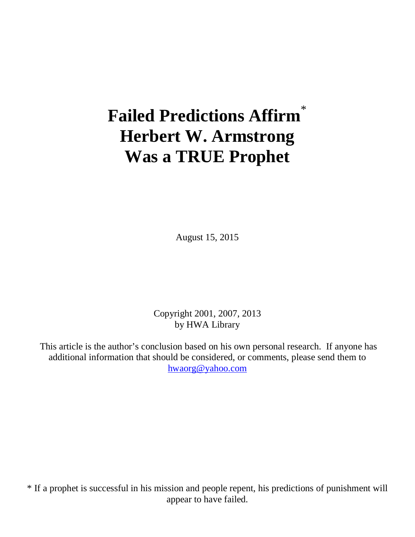# **Failed Predictions Affirm**\* **Herbert W. Armstrong Was a TRUE Prophet**

August 15, 2015

Copyright 2001, 2007, 2013 by HWA Library

This article is the author's conclusion based on his own personal research. If anyone has additional information that should be considered, or comments, please send them to [hwaorg@yahoo.com](mailto:hwaorg@yahoo.com)

\* If a prophet is successful in his mission and people repent, his predictions of punishment will appear to have failed.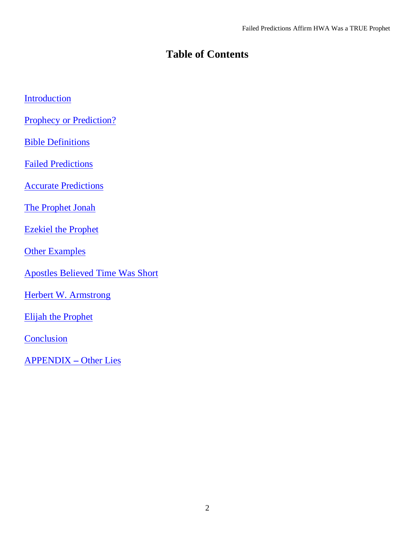# **Table of Contents**

|  |  |  | Introduction |  |
|--|--|--|--------------|--|
|  |  |  |              |  |

[Prophecy or Prediction?](#page-3-0)

**[Bible Definitions](#page-4-0)** 

[Failed Predictions](#page-8-0)

[Accurate Predictions](#page-17-0)

[The Prophet Jonah](#page-18-0)

[Ezekiel the Prophet](#page-19-0)

**[Other Examples](#page-20-0)** 

[Apostles Believed Time Was Short](#page-22-0)

[Herbert W. Armstrong](#page-24-0)

[Elijah the Prophet](#page-29-0)

**[Conclusion](#page-30-0)** 

[APPENDIX](#page-31-0) **–** Other Lies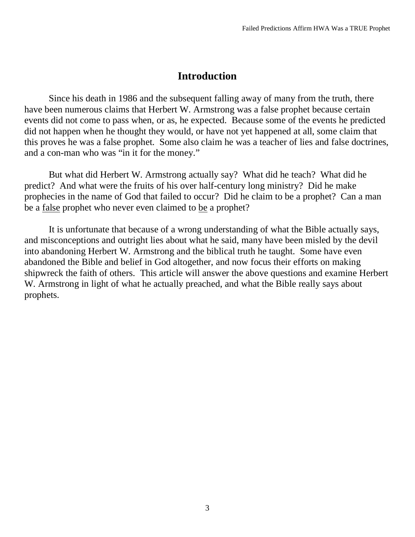## **Introduction**

<span id="page-2-0"></span>Since his death in 1986 and the subsequent falling away of many from the truth, there have been numerous claims that Herbert W. Armstrong was a false prophet because certain events did not come to pass when, or as, he expected. Because some of the events he predicted did not happen when he thought they would, or have not yet happened at all, some claim that this proves he was a false prophet. Some also claim he was a teacher of lies and false doctrines, and a con-man who was "in it for the money."

But what did Herbert W. Armstrong actually say? What did he teach? What did he predict? And what were the fruits of his over half-century long ministry? Did he make prophecies in the name of God that failed to occur? Did he claim to be a prophet? Can a man be a false prophet who never even claimed to be a prophet?

It is unfortunate that because of a wrong understanding of what the Bible actually says, and misconceptions and outright lies about what he said, many have been misled by the devil into abandoning Herbert W. Armstrong and the biblical truth he taught. Some have even abandoned the Bible and belief in God altogether, and now focus their efforts on making shipwreck the faith of others. This article will answer the above questions and examine Herbert W. Armstrong in light of what he actually preached, and what the Bible really says about prophets.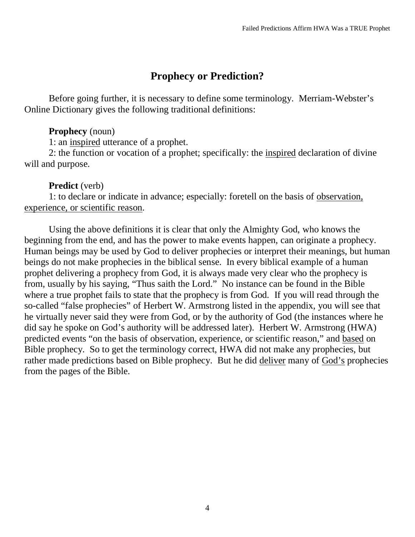## **Prophecy or Prediction?**

<span id="page-3-0"></span>Before going further, it is necessary to define some terminology. Merriam-Webster's Online Dictionary gives the following traditional definitions:

## **Prophecy** (noun)

1: an inspired utterance of a prophet.

2: the function or vocation of a prophet; specifically: the *inspired* declaration of divine will and purpose.

## **Predict** (verb)

1: to declare or indicate in advance; especially: foretell on the basis of observation, experience, or scientific reason.

Using the above definitions it is clear that only the Almighty God, who knows the beginning from the end, and has the power to make events happen, can originate a prophecy. Human beings may be used by God to deliver prophecies or interpret their meanings, but human beings do not make prophecies in the biblical sense. In every biblical example of a human prophet delivering a prophecy from God, it is always made very clear who the prophecy is from, usually by his saying, "Thus saith the Lord." No instance can be found in the Bible where a true prophet fails to state that the prophecy is from God. If you will read through the so-called "false prophecies" of Herbert W. Armstrong listed in the appendix, you will see that he virtually never said they were from God, or by the authority of God (the instances where he did say he spoke on God's authority will be addressed later). Herbert W. Armstrong (HWA) predicted events "on the basis of observation, experience, or scientific reason," and based on Bible prophecy. So to get the terminology correct, HWA did not make any prophecies, but rather made predictions based on Bible prophecy. But he did deliver many of God's prophecies from the pages of the Bible.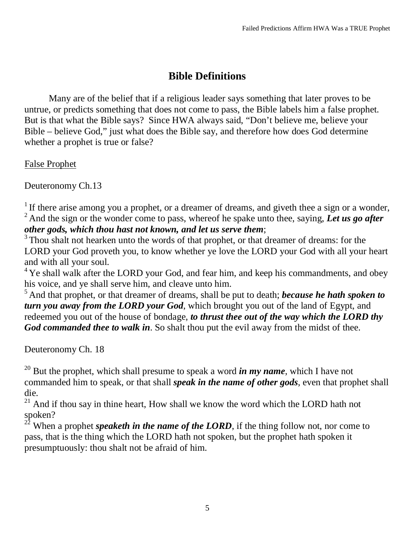# **Bible Definitions**

<span id="page-4-0"></span>Many are of the belief that if a religious leader says something that later proves to be untrue, or predicts something that does not come to pass, the Bible labels him a false prophet. But is that what the Bible says? Since HWA always said, "Don't believe me, believe your Bible – believe God," just what does the Bible say, and therefore how does God determine whether a prophet is true or false?

False Prophet

Deuteronomy Ch.13

<sup>1</sup> If there arise among you a prophet, or a dreamer of dreams, and giveth thee a sign or a wonder, <sup>2</sup> And the sign or the wonder come to pass, whereof he spake unto thee, saying, *Let us go after other gods, which thou hast not known, and let us serve them*;

<sup>3</sup> Thou shalt not hearken unto the words of that prophet, or that dreamer of dreams: for the LORD your God proveth you, to know whether ye love the LORD your God with all your heart and with all your soul.

 $4$  Ye shall walk after the LORD your God, and fear him, and keep his commandments, and obey his voice, and ye shall serve him, and cleave unto him.

<sup>5</sup> And that prophet, or that dreamer of dreams, shall be put to death; *because he hath spoken to turn you away from the LORD your God*, which brought you out of the land of Egypt, and redeemed you out of the house of bondage, *to thrust thee out of the way which the LORD thy God commanded thee to walk in*. So shalt thou put the evil away from the midst of thee.

Deuteronomy Ch. 18

<sup>20</sup> But the prophet, which shall presume to speak a word *in my name*, which I have not commanded him to speak, or that shall *speak in the name of other gods*, even that prophet shall die.

 $21$  And if thou say in thine heart, How shall we know the word which the LORD hath not spoken?

 $2^2$  When a prophet *speaketh in the name of the LORD*, if the thing follow not, nor come to pass, that is the thing which the LORD hath not spoken, but the prophet hath spoken it presumptuously: thou shalt not be afraid of him.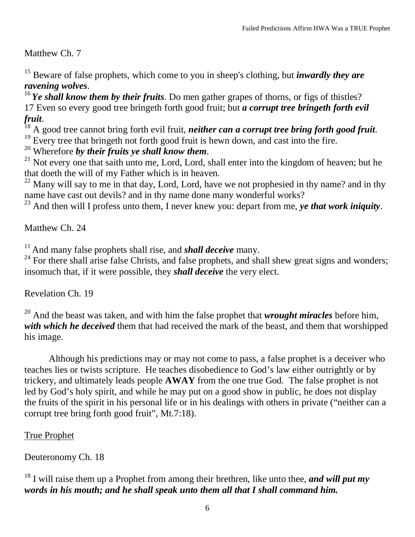Matthew Ch. 7

<sup>15</sup> Beware of false prophets, which come to you in sheep's clothing, but *inwardly they are ravening wolves.*<br><sup>16</sup>*Ye shall know them by their fruits*. Do men gather grapes of thorns, or figs of thistles?

17 Even so every good tree bringeth forth good fruit; but *a corrupt tree bringeth forth evil* 

<sup>18</sup> A good tree cannot bring forth evil fruit, *neither can a corrupt tree bring forth good fruit*.<br><sup>19</sup> Every tree that bringeth not forth good fruit is hewn down, and cast into the fire.<br><sup>20</sup> Wherefore *by their fruits* 

<sup>21</sup> Not every one that saith unto me, Lord, Lord, shall enter into the kingdom of heaven; but he that doeth the will of my Father which is in heaven.

 $22$  Many will say to me in that day, Lord, Lord, have we not prophesied in thy name? and in thy name have cast out devils? and in thy name done many wonderful works?

<sup>23</sup> And then will I profess unto them, I never knew you: depart from me, *ye that work iniquity*.

Matthew Ch. 24

<sup>11</sup> And many false prophets shall rise, and *shall deceive* many.

 $24$  For there shall arise false Christs, and false prophets, and shall shew great signs and wonders; insomuch that, if it were possible, they *shall deceive* the very elect.

Revelation Ch. 19

<sup>20</sup> And the beast was taken, and with him the false prophet that *wrought miracles* before him, *with which he deceived* them that had received the mark of the beast, and them that worshipped his image.

Although his predictions may or may not come to pass, a false prophet is a deceiver who teaches lies or twists scripture. He teaches disobedience to God's law either outrightly or by trickery, and ultimately leads people **AWAY** from the one true God. The false prophet is not led by God's holy spirit, and while he may put on a good show in public, he does not display the fruits of the spirit in his personal life or in his dealings with others in private ("neither can a corrupt tree bring forth good fruit", Mt.7:18).

## True Prophet

Deuteronomy Ch. 18

## <sup>18</sup> I will raise them up a Prophet from among their brethren, like unto thee, *and will put my words in his mouth; and he shall speak unto them all that I shall command him.*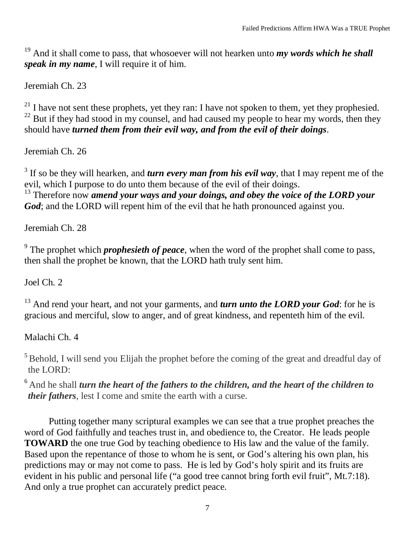<sup>19</sup> And it shall come to pass, that whosoever will not hearken unto *my words which he shall speak in my name*, I will require it of him.

Jeremiah Ch. 23

 $21$  I have not sent these prophets, yet they ran: I have not spoken to them, yet they prophesied.  $^{22}$  But if they had stood in my counsel, and had caused my people to hear my words, then they should have *turned them from their evil way, and from the evil of their doings*.

Jeremiah Ch. 26

<sup>3</sup> If so be they will hearken, and *turn every man from his evil way*, that I may repent me of the evil, which I purpose to do unto them because of the evil of their doings.

<sup>13</sup> Therefore now *amend your ways and your doings, and obey the voice of the LORD your God*; and the LORD will repent him of the evil that he hath pronounced against you.

Jeremiah Ch. 28

<sup>9</sup> The prophet which *prophesieth of peace*, when the word of the prophet shall come to pass, then shall the prophet be known, that the LORD hath truly sent him.

Joel Ch. 2

<sup>13</sup> And rend your heart, and not your garments, and *turn unto the LORD your God*: for he is gracious and merciful, slow to anger, and of great kindness, and repenteth him of the evil.

Malachi Ch. 4

 $<sup>5</sup>$  Behold, I will send you Elijah the prophet before the coming of the great and dreadful day of</sup> the LORD:

[6](http://www.kingjamesbibleonline.org/Malachi-4-6/) And he shall *turn the heart of the fathers to the children, and the heart of the children to their fathers*, lest I come and smite the earth with a curse.

Putting together many scriptural examples we can see that a true prophet preaches the word of God faithfully and teaches trust in, and obedience to, the Creator. He leads people **TOWARD** the one true God by teaching obedience to His law and the value of the family. Based upon the repentance of those to whom he is sent, or God's altering his own plan, his predictions may or may not come to pass. He is led by God's holy spirit and its fruits are evident in his public and personal life ("a good tree cannot bring forth evil fruit", Mt.7:18). And only a true prophet can accurately predict peace.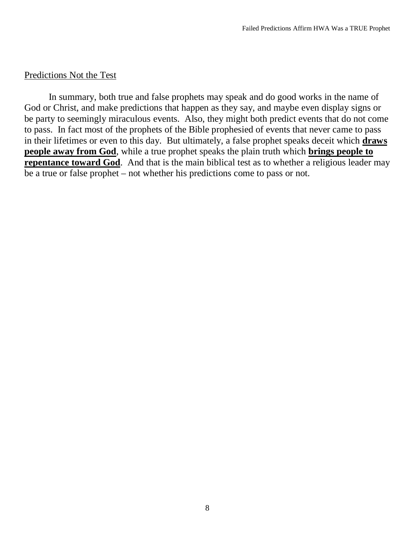#### Predictions Not the Test

In summary, both true and false prophets may speak and do good works in the name of God or Christ, and make predictions that happen as they say, and maybe even display signs or be party to seemingly miraculous events. Also, they might both predict events that do not come to pass. In fact most of the prophets of the Bible prophesied of events that never came to pass in their lifetimes or even to this day. But ultimately, a false prophet speaks deceit which **draws people away from God**, while a true prophet speaks the plain truth which **brings people to repentance toward God.** And that is the main biblical test as to whether a religious leader may be a true or false prophet – not whether his predictions come to pass or not.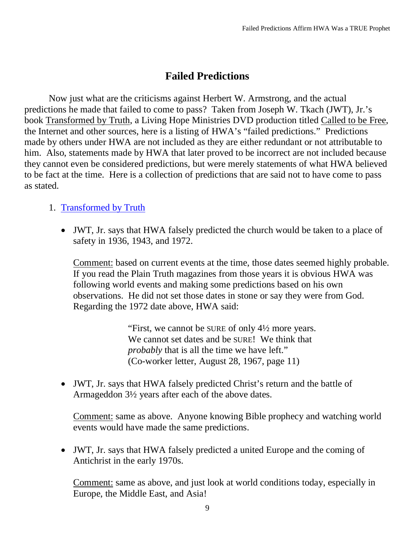## **Failed Predictions**

<span id="page-8-0"></span>Now just what are the criticisms against Herbert W. Armstrong, and the actual predictions he made that failed to come to pass? Taken from Joseph W. Tkach (JWT), Jr.'s book Transformed by Truth, a Living Hope Ministries DVD production titled Called to be Free, the Internet and other sources, here is a listing of HWA's "failed predictions." Predictions made by others under HWA are not included as they are either redundant or not attributable to him. Also, statements made by HWA that later proved to be incorrect are not included because they cannot even be considered predictions, but were merely statements of what HWA believed to be fact at the time. Here is a collection of predictions that are said not to have come to pass as stated.

## 1. Transformed by Truth

• JWT, Jr. says that HWA falsely predicted the church would be taken to a place of safety in 1936, 1943, and 1972.

Comment: based on current events at the time, those dates seemed highly probable. If you read the Plain Truth magazines from those years it is obvious HWA was following world events and making some predictions based on his own observations. He did not set those dates in stone or say they were from God. Regarding the 1972 date above, HWA said:

> "First, we cannot be SURE of only 4½ more years. We cannot set dates and be SURE! We think that *probably* that is all the time we have left." (Co-worker letter, August 28, 1967, page 11)

• JWT, Jr. says that HWA falsely predicted Christ's return and the battle of Armageddon 3½ years after each of the above dates.

Comment: same as above. Anyone knowing Bible prophecy and watching world events would have made the same predictions.

• JWT, Jr. says that HWA falsely predicted a united Europe and the coming of Antichrist in the early 1970s.

Comment: same as above, and just look at world conditions today, especially in Europe, the Middle East, and Asia!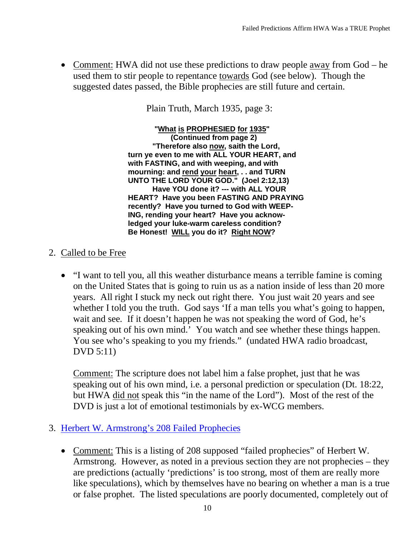• Comment: HWA did not use these predictions to draw people <u>away</u> from God – he used them to stir people to repentance towards God (see below). Though the suggested dates passed, the Bible prophecies are still future and certain.

Plain Truth, March 1935, page 3:

**"What is PROPHESIED for 1935 " (Continued from page 2) "Therefore also now , saith the Lord, turn ye even to me with ALL YOUR HEART, and with FASTING, and with weeping, and with mourning: and rend your heart , . . and TURN UNTO THE LORD YOUR GOD." (Joel 2:12,13) Have YOU done it? --- with ALL YOUR HEART? Have you been FASTING AND PRAYING recently? Have you turned to God with WEEP-ING, rending your heart? Have you acknowledged your luke-warm careless condition? Be Honest! WILL you do it? Right NOW?**

- 2. Called to be Free
	- "I want to tell you, all this weather disturbance means a terrible famine is coming on the United States that is going to ruin us as a nation inside of less than 20 more years. All right I stuck my neck out right there. You just wait 20 years and see whether I told you the truth. God says 'If a man tells you what's going to happen, wait and see. If it doesn't happen he was not speaking the word of God, he's speaking out of his own mind.' You watch and see whether these things happen. You see who's speaking to you my friends." (undated HWA radio broadcast, DVD 5:11)

Comment: The scripture does not label him a false prophet, just that he was speaking out of his own mind, i.e. a personal prediction or speculation (Dt. 18:22, but HWA did not speak this "in the name of the Lord"). Most of the rest of the DVD is just a lot of emotional testimonials by ex-WCG members.

- 3. Herbert W. Armstrong's 208 Failed Prophecies
	- Comment: This is a listing of 208 supposed "failed prophecies" of Herbert W. Armstrong. However, as noted in a previous section they are not prophecies – they are predictions (actually 'predictions' is too strong, most of them are really more like speculations), which by themselves have no bearing on whether a man is a true or false prophet. The listed speculations are poorly documented, completely out of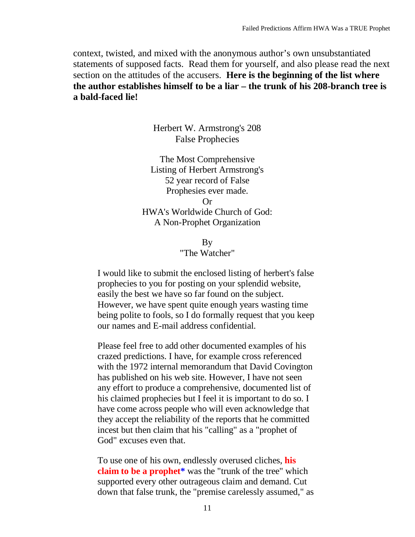context, twisted, and mixed with the anonymous author's own unsubstantiated statements of supposed facts. Read them for yourself, and also please read the next section on the attitudes of the accusers. **Here is the beginning of the list where the author establishes himself to be a liar – the trunk of his 208-branch tree is a bald-faced lie!**

> Herbert W. Armstrong's 208 False Prophecies

The Most Comprehensive Listing of Herbert Armstrong's 52 year record of False Prophesies ever made. Or HWA's Worldwide Church of God: A Non-Prophet Organization

> By "The Watcher"

I would like to submit the enclosed listing of herbert's false prophecies to you for posting on your splendid website, easily the best we have so far found on the subject. However, we have spent quite enough years wasting time being polite to fools, so I do formally request that you keep our names and E-mail address confidential.

Please feel free to add other documented examples of his crazed predictions. I have, for example cross referenced with the 1972 internal memorandum that David Covington has published on his web site. However, I have not seen any effort to produce a comprehensive, documented list of his claimed prophecies but I feel it is important to do so. I have come across people who will even acknowledge that they accept the reliability of the reports that he committed incest but then claim that his "calling" as a "prophet of God" excuses even that.

To use one of his own, endlessly overused cliches, **his claim to be a prophet\*** was the "trunk of the tree" which supported every other outrageous claim and demand. Cut down that false trunk, the "premise carelessly assumed," as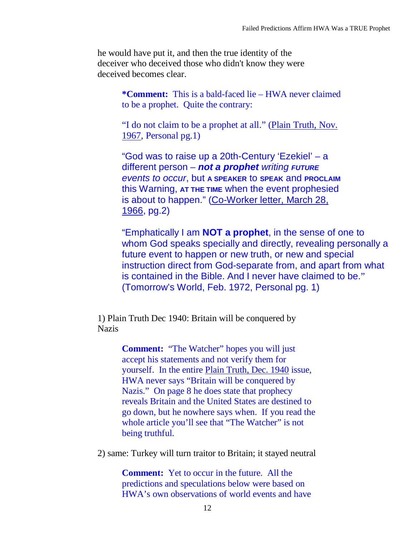he would have put it, and then the true identity of the deceiver who deceived those who didn't know they were deceived becomes clear.

> **\*Comment:** This is a bald-faced lie – HWA never claimed to be a prophet. Quite the contrary:

"I do not claim to be a prophet at all." [\(Plain Truth, Nov.](http://www.herbert-armstrong.org/Plain%20Truth%201960s/Plain%20Truth%201967%20(Prelim%20No%2011)%20Nov.pdf)  [1967,](http://www.herbert-armstrong.org/Plain%20Truth%201960s/Plain%20Truth%201967%20(Prelim%20No%2011)%20Nov.pdf) Personal pg.1)

"God was to raise up a 20th-Century 'Ezekiel' – a different person – *not a prophet writing FUTURE events to occur*, but **A SPEAKER** to **SPEAK** and **PROCLAIM** this Warning, **AT THE TIME** when the event prophesied is about to happen." [\(Co-Worker letter, March 28,](http://www.herbert-armstrong.org/Miscellaneous/HWA%20Letters%201934-1986%20(searchable%20text).pdf)  [1966,](http://www.herbert-armstrong.org/Miscellaneous/HWA%20Letters%201934-1986%20(searchable%20text).pdf) pg.2)

"Emphatically I am **NOT a prophet**, in the sense of one to whom God speaks specially and directly, revealing personally a future event to happen or new truth, or new and special instruction direct from God-separate from, and apart from what is contained in the Bible. And I never have claimed to be." (Tomorrow's World, Feb. 1972, Personal pg. 1)

1) Plain Truth Dec 1940: Britain will be conquered by **Nazis** 

> **Comment:** "The Watcher" hopes you will just accept his statements and not verify them for yourself. In the entire [Plain Truth, Dec. 1940](http://www.herbert-armstrong.org/Plain%20Truth%201940s/Plain%20Truth%201940%20(Vol%20V%20No%2004)%20Nov-Dec.pdf) issue, HWA never says "Britain will be conquered by Nazis." On page 8 he does state that prophecy reveals Britain and the United States are destined to go down, but he nowhere says when. If you read the whole article you'll see that "The Watcher" is not being truthful.

2) same: Turkey will turn traitor to Britain; it stayed neutral

**Comment:** Yet to occur in the future. All the predictions and speculations below were based on HWA's own observations of world events and have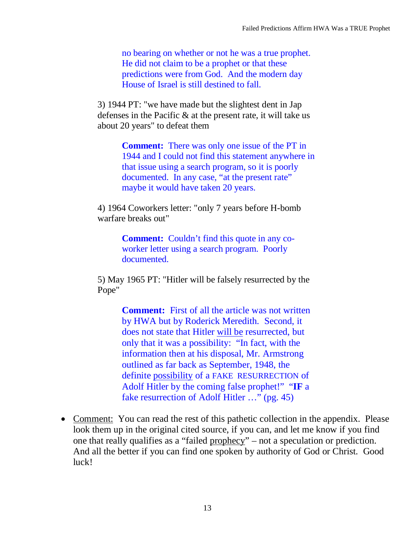no bearing on whether or not he was a true prophet. He did not claim to be a prophet or that these predictions were from God. And the modern day House of Israel is still destined to fall.

3) 1944 PT: "we have made but the slightest dent in Jap defenses in the Pacific & at the present rate, it will take us about 20 years" to defeat them

> **Comment:** There was only one issue of the PT in 1944 and I could not find this statement anywhere in that issue using a search program, so it is poorly documented. In any case, "at the present rate" maybe it would have taken 20 years.

4) 1964 Coworkers letter: "only 7 years before H-bomb warfare breaks out"

> **Comment:** Couldn't find this quote in any coworker letter using a search program. Poorly documented.

5) May 1965 PT: "Hitler will be falsely resurrected by the Pope"

> **Comment:** First of all the article was not written by HWA but by Roderick Meredith. Second, it does not state that Hitler will be resurrected, but only that it was a possibility: "In fact, with the information then at his disposal, Mr. Armstrong outlined as far back as September, 1948, the definite possibility of a FAKE RESURRECTION of Adolf Hitler by the coming false prophet!" "**IF** a fake resurrection of Adolf Hitler …" (pg. 45)

• Comment: You can read the rest of this pathetic collection in the appendix. Please look them up in the original cited source, if you can, and let me know if you find one that really qualifies as a "failed prophecy" – not a speculation or prediction. And all the better if you can find one spoken by authority of God or Christ. Good luck!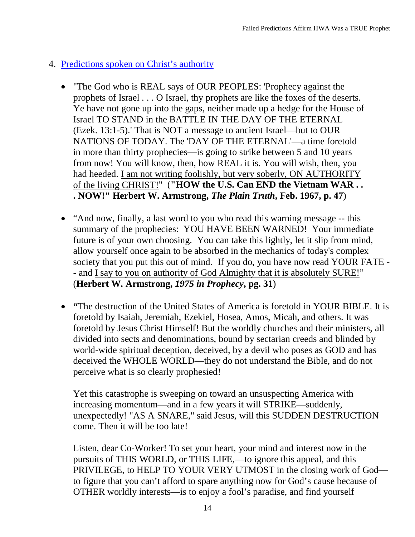- 4. Predictions spoken on Christ's authority
	- "The God who is REAL says of OUR PEOPLES: 'Prophecy against the prophets of Israel . . . O Israel, thy prophets are like the foxes of the deserts. Ye have not gone up into the gaps, neither made up a hedge for the House of Israel TO STAND in the BATTLE IN THE DAY OF THE ETERNAL (Ezek. 13:1-5).' That is NOT a message to ancient Israel—but to OUR NATIONS OF TODAY. The 'DAY OF THE ETERNAL'—a time foretold in more than thirty prophecies—is going to strike between 5 and 10 years from now! You will know, then, how REAL it is. You will wish, then, you had heeded. I am not writing foolishly, but very soberly, ON AUTHORITY of the living CHRIST!" (**"HOW the U.S. Can END the Vietnam WAR . . . NOW!" Herbert W. Armstrong,** *The Plain Truth***, Feb. 1967, p. 47**)
	- "And now, finally, a last word to you who read this warning message -- this summary of the prophecies: YOU HAVE BEEN WARNED! Your immediate future is of your own choosing. You can take this lightly, let it slip from mind, allow yourself once again to be absorbed in the mechanics of today's complex society that you put this out of mind. If you do, you have now read YOUR FATE - - and I say to you on authority of God Almighty that it is absolutely SURE!" (**Herbert W. Armstrong,** *1975 in Prophecy***, pg. 31**)
	- **"**The destruction of the United States of America is foretold in YOUR BIBLE. It is foretold by Isaiah, Jeremiah, Ezekiel, Hosea, Amos, Micah, and others. It was foretold by Jesus Christ Himself! But the worldly churches and their ministers, all divided into sects and denominations, bound by sectarian creeds and blinded by world-wide spiritual deception, deceived, by a devil who poses as GOD and has deceived the WHOLE WORLD—they do not understand the Bible, and do not perceive what is so clearly prophesied!

Yet this catastrophe is sweeping on toward an unsuspecting America with increasing momentum—and in a few years it will STRIKE—suddenly, unexpectedly! "AS A SNARE," said Jesus, will this SUDDEN DESTRUCTION come. Then it will be too late!

Listen, dear Co-Worker! To set your heart, your mind and interest now in the pursuits of THIS WORLD, or THIS LIFE,—to ignore this appeal, and this PRIVILEGE, to HELP TO YOUR VERY UTMOST in the closing work of God to figure that you can't afford to spare anything now for God's cause because of OTHER worldly interests—is to enjoy a fool's paradise, and find yourself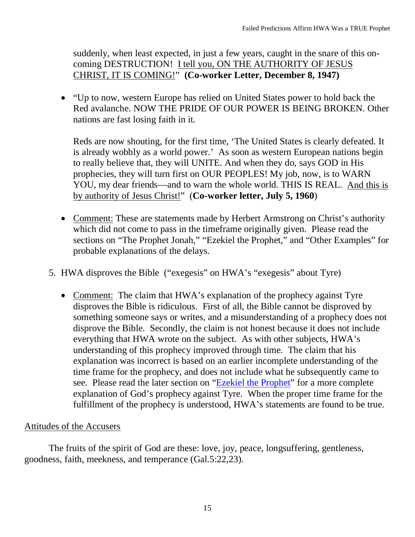suddenly, when least expected, in just a few years, caught in the snare of this oncoming DESTRUCTION! I tell you, ON THE AUTHORITY OF JESUS CHRIST, IT IS COMING!" **(Co-worker Letter, December 8, 1947)**

• "Up to now, western Europe has relied on United States power to hold back the Red avalanche. NOW THE PRIDE OF OUR POWER IS BEING BROKEN. Other nations are fast losing faith in it.

Reds are now shouting, for the first time, 'The United States is clearly defeated. It is already wobbly as a world power.' As soon as western European nations begin to really believe that, they will UNITE. And when they do, says GOD in His prophecies, they will turn first on OUR PEOPLES! My job, now, is to WARN YOU, my dear friends—and to warn the whole world. THIS IS REAL. And this is by authority of Jesus Christ!" (**Co-worker letter, July 5, 1960**)

- Comment: These are statements made by Herbert Armstrong on Christ's authority which did not come to pass in the timeframe originally given. Please read the sections on "The Prophet Jonah," "Ezekiel the Prophet," and "Other Examples" for probable explanations of the delays.
- 5. HWA disproves the Bible ("exegesis" on HWA's "exegesis" about Tyre)
	- Comment: The claim that HWA's explanation of the prophecy against Tyre disproves the Bible is ridiculous. First of all, the Bible cannot be disproved by something someone says or writes, and a misunderstanding of a prophecy does not disprove the Bible. Secondly, the claim is not honest because it does not include everything that HWA wrote on the subject. As with other subjects, HWA's understanding of this prophecy improved through time. The claim that his explanation was incorrect is based on an earlier incomplete understanding of the time frame for the prophecy, and does not include what he subsequently came to see. Please read the later section on ["Ezekiel the Prophet"](#page-19-0) for a more complete explanation of God's prophecy against Tyre. When the proper time frame for the fulfillment of the prophecy is understood, HWA's statements are found to be true.

#### Attitudes of the Accusers

The fruits of the spirit of God are these: love, joy, peace, longsuffering, gentleness, goodness, faith, meekness, and temperance (Gal.5:22,23).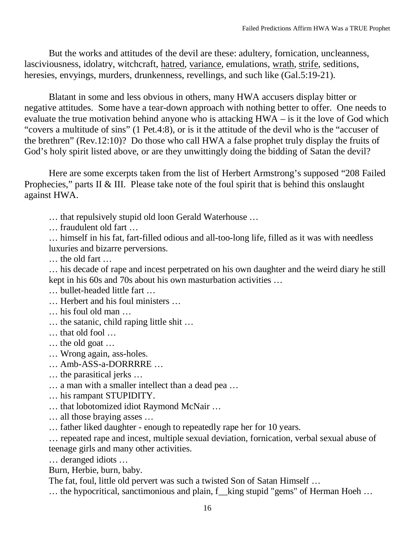But the works and attitudes of the devil are these: adultery, fornication, uncleanness, lasciviousness, idolatry, witchcraft, hatred, variance, emulations, wrath, strife, seditions, heresies, envyings, murders, drunkenness, revellings, and such like (Gal.5:19-21).

Blatant in some and less obvious in others, many HWA accusers display bitter or negative attitudes. Some have a tear-down approach with nothing better to offer. One needs to evaluate the true motivation behind anyone who is attacking HWA – is it the love of God which "covers a multitude of sins" (1 Pet.4:8), or is it the attitude of the devil who is the "accuser of the brethren" (Rev.12:10)? Do those who call HWA a false prophet truly display the fruits of God's holy spirit listed above, or are they unwittingly doing the bidding of Satan the devil?

Here are some excerpts taken from the list of Herbert Armstrong's supposed "208 Failed Prophecies," parts II & III. Please take note of the foul spirit that is behind this onslaught against HWA.

… that repulsively stupid old loon Gerald Waterhouse …

… fraudulent old fart …

… himself in his fat, fart-filled odious and all-too-long life, filled as it was with needless luxuries and bizarre perversions.

… the old fart …

… his decade of rape and incest perpetrated on his own daughter and the weird diary he still kept in his 60s and 70s about his own masturbation activities …

… bullet-headed little fart …

… Herbert and his foul ministers …

- … his foul old man …
- … the satanic, child raping little shit …
- … that old fool …
- … the old goat …
- … Wrong again, ass-holes.
- … Amb-ASS-a-DORRRRE …
- … the parasitical jerks …
- … a man with a smaller intellect than a dead pea …
- … his rampant STUPIDITY.
- … that lobotomized idiot Raymond McNair …
- … all those braying asses …

… father liked daughter - enough to repeatedly rape her for 10 years.

… repeated rape and incest, multiple sexual deviation, fornication, verbal sexual abuse of teenage girls and many other activities.

… deranged idiots …

Burn, Herbie, burn, baby.

The fat, foul, little old pervert was such a twisted Son of Satan Himself …

… the hypocritical, sanctimonious and plain, f\_\_king stupid "gems" of Herman Hoeh …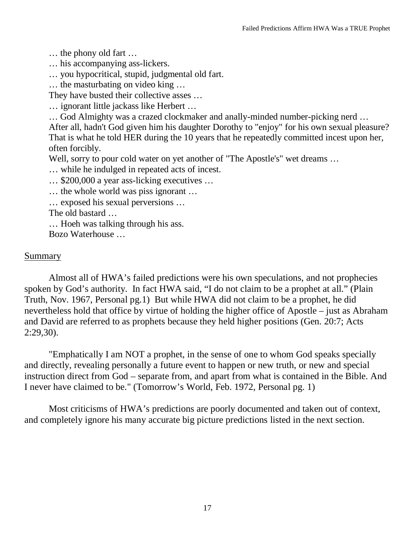… the phony old fart …

… his accompanying ass-lickers.

… you hypocritical, stupid, judgmental old fart.

… the masturbating on video king …

They have busted their collective asses …

… ignorant little jackass like Herbert …

… God Almighty was a crazed clockmaker and anally-minded number-picking nerd …

After all, hadn't God given him his daughter Dorothy to "enjoy" for his own sexual pleasure? That is what he told HER during the 10 years that he repeatedly committed incest upon her, often forcibly.

Well, sorry to pour cold water on yet another of "The Apostle's" wet dreams ...

… while he indulged in repeated acts of incest.

… \$200,000 a year ass-licking executives …

… the whole world was piss ignorant …

… exposed his sexual perversions …

The old bastard …

… Hoeh was talking through his ass.

Bozo Waterhouse …

#### Summary

Almost all of HWA's failed predictions were his own speculations, and not prophecies spoken by God's authority. In fact HWA said, "I do not claim to be a prophet at all." (Plain Truth, Nov. 1967, Personal pg.1) But while HWA did not claim to be a prophet, he did nevertheless hold that office by virtue of holding the higher office of Apostle – just as Abraham and David are referred to as prophets because they held higher positions (Gen. 20:7; Acts 2:29,30).

"Emphatically I am NOT a prophet, in the sense of one to whom God speaks specially and directly, revealing personally a future event to happen or new truth, or new and special instruction direct from God – separate from, and apart from what is contained in the Bible. And I never have claimed to be." (Tomorrow's World, Feb. 1972, Personal pg. 1)

Most criticisms of HWA's predictions are poorly documented and taken out of context, and completely ignore his many accurate big picture predictions listed in the next section.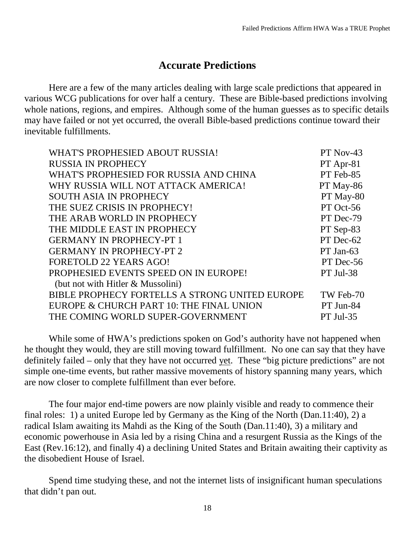## **Accurate Predictions**

<span id="page-17-0"></span>Here are a few of the many articles dealing with large scale predictions that appeared in various WCG publications for over half a century. These are Bible-based predictions involving whole nations, regions, and empires. Although some of the human guesses as to specific details may have failed or not yet occurred, the overall Bible-based predictions continue toward their inevitable fulfillments.

| WHAT'S PROPHESIED ABOUT RUSSIA!                | PT Nov-43   |
|------------------------------------------------|-------------|
| <b>RUSSIA IN PROPHECY</b>                      | $PT$ Apr-81 |
| WHAT'S PROPHESIED FOR RUSSIA AND CHINA         | PT Feb-85   |
| WHY RUSSIA WILL NOT ATTACK AMERICA!            | PT May-86   |
| <b>SOUTH ASIA IN PROPHECY</b>                  | PT May-80   |
| THE SUEZ CRISIS IN PROPHECY!                   | PT Oct-56   |
| THE ARAB WORLD IN PROPHECY                     | PT Dec-79   |
| THE MIDDLE EAST IN PROPHECY                    | PT Sep-83   |
| <b>GERMANY IN PROPHECY-PT 1</b>                | PT Dec-62   |
| <b>GERMANY IN PROPHECY-PT 2</b>                | $PT$ Jan-63 |
| <b>FORETOLD 22 YEARS AGO!</b>                  | PT Dec-56   |
| PROPHESIED EVENTS SPEED ON IN EUROPE!          | PT Jul-38   |
| (but not with Hitler & Mussolini)              |             |
| BIBLE PROPHECY FORTELLS A STRONG UNITED EUROPE | TW Feb-70   |
| EUROPE & CHURCH PART 10: THE FINAL UNION       | PT Jun-84   |
| THE COMING WORLD SUPER-GOVERNMENT              | $PT$ Jul-35 |
|                                                |             |

While some of HWA's predictions spoken on God's authority have not happened when he thought they would, they are still moving toward fulfillment. No one can say that they have definitely failed – only that they have not occurred yet. These "big picture predictions" are not simple one-time events, but rather massive movements of history spanning many years, which are now closer to complete fulfillment than ever before.

The four major end-time powers are now plainly visible and ready to commence their final roles: 1) a united Europe led by Germany as the King of the North (Dan.11:40), 2) a radical Islam awaiting its Mahdi as the King of the South (Dan.11:40), 3) a military and economic powerhouse in Asia led by a rising China and a resurgent Russia as the Kings of the East (Rev.16:12), and finally 4) a declining United States and Britain awaiting their captivity as the disobedient House of Israel.

Spend time studying these, and not the internet lists of insignificant human speculations that didn't pan out.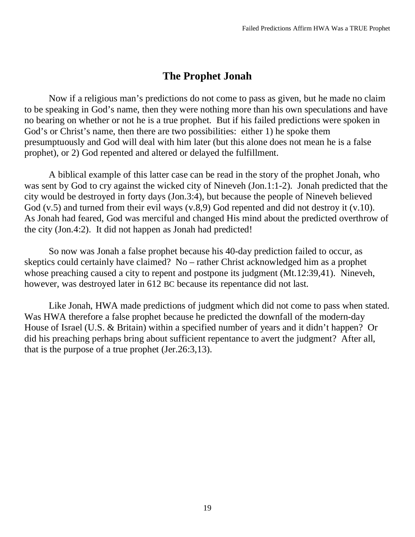## **The Prophet Jonah**

<span id="page-18-0"></span>Now if a religious man's predictions do not come to pass as given, but he made no claim to be speaking in God's name, then they were nothing more than his own speculations and have no bearing on whether or not he is a true prophet. But if his failed predictions were spoken in God's or Christ's name, then there are two possibilities: either 1) he spoke them presumptuously and God will deal with him later (but this alone does not mean he is a false prophet), or 2) God repented and altered or delayed the fulfillment.

A biblical example of this latter case can be read in the story of the prophet Jonah, who was sent by God to cry against the wicked city of Nineveh (Jon.1:1-2). Jonah predicted that the city would be destroyed in forty days (Jon.3:4), but because the people of Nineveh believed God (v.5) and turned from their evil ways (v.8,9) God repented and did not destroy it (v.10). As Jonah had feared, God was merciful and changed His mind about the predicted overthrow of the city (Jon.4:2). It did not happen as Jonah had predicted!

So now was Jonah a false prophet because his 40-day prediction failed to occur, as skeptics could certainly have claimed? No – rather Christ acknowledged him as a prophet whose preaching caused a city to repent and postpone its judgment (Mt.12:39,41). Nineveh, however, was destroyed later in 612 BC because its repentance did not last.

Like Jonah, HWA made predictions of judgment which did not come to pass when stated. Was HWA therefore a false prophet because he predicted the downfall of the modern-day House of Israel (U.S. & Britain) within a specified number of years and it didn't happen? Or did his preaching perhaps bring about sufficient repentance to avert the judgment? After all, that is the purpose of a true prophet (Jer.26:3,13).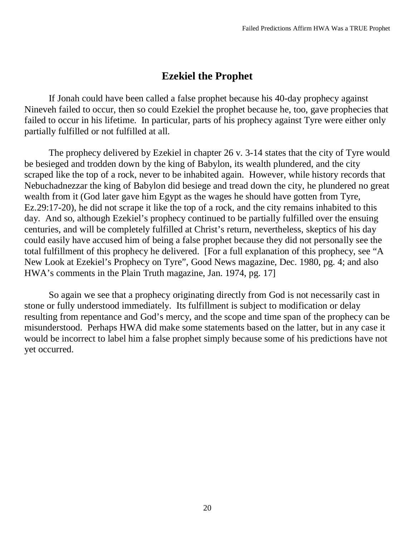## **Ezekiel the Prophet**

<span id="page-19-0"></span>If Jonah could have been called a false prophet because his 40-day prophecy against Nineveh failed to occur, then so could Ezekiel the prophet because he, too, gave prophecies that failed to occur in his lifetime. In particular, parts of his prophecy against Tyre were either only partially fulfilled or not fulfilled at all.

The prophecy delivered by Ezekiel in chapter 26 v. 3-14 states that the city of Tyre would be besieged and trodden down by the king of Babylon, its wealth plundered, and the city scraped like the top of a rock, never to be inhabited again. However, while history records that Nebuchadnezzar the king of Babylon did besiege and tread down the city, he plundered no great wealth from it (God later gave him Egypt as the wages he should have gotten from Tyre, Ez.29:17-20), he did not scrape it like the top of a rock, and the city remains inhabited to this day. And so, although Ezekiel's prophecy continued to be partially fulfilled over the ensuing centuries, and will be completely fulfilled at Christ's return, nevertheless, skeptics of his day could easily have accused him of being a false prophet because they did not personally see the total fulfillment of this prophecy he delivered. [For a full explanation of this prophecy, see "A New Look at Ezekiel's Prophecy on Tyre", Good News magazine, Dec. 1980, pg. 4; and also HWA's comments in the Plain Truth magazine, Jan. 1974, pg. 17]

So again we see that a prophecy originating directly from God is not necessarily cast in stone or fully understood immediately. Its fulfillment is subject to modification or delay resulting from repentance and God's mercy, and the scope and time span of the prophecy can be misunderstood. Perhaps HWA did make some statements based on the latter, but in any case it would be incorrect to label him a false prophet simply because some of his predictions have not yet occurred.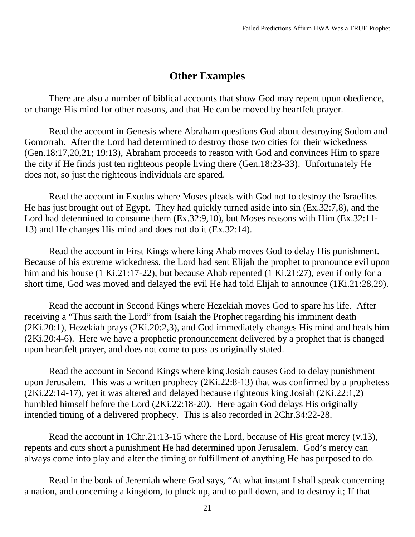## **Other Examples**

<span id="page-20-0"></span>There are also a number of biblical accounts that show God may repent upon obedience, or change His mind for other reasons, and that He can be moved by heartfelt prayer.

Read the account in Genesis where Abraham questions God about destroying Sodom and Gomorrah. After the Lord had determined to destroy those two cities for their wickedness (Gen.18:17,20,21; 19:13), Abraham proceeds to reason with God and convinces Him to spare the city if He finds just ten righteous people living there (Gen.18:23-33). Unfortunately He does not, so just the righteous individuals are spared.

Read the account in Exodus where Moses pleads with God not to destroy the Israelites He has just brought out of Egypt. They had quickly turned aside into sin (Ex.32:7,8), and the Lord had determined to consume them (Ex.32:9,10), but Moses reasons with Him (Ex.32:11- 13) and He changes His mind and does not do it (Ex.32:14).

Read the account in First Kings where king Ahab moves God to delay His punishment. Because of his extreme wickedness, the Lord had sent Elijah the prophet to pronounce evil upon him and his house (1 Ki.21:17-22), but because Ahab repented (1 Ki.21:27), even if only for a short time, God was moved and delayed the evil He had told Elijah to announce (1Ki.21:28,29).

Read the account in Second Kings where Hezekiah moves God to spare his life. After receiving a "Thus saith the Lord" from Isaiah the Prophet regarding his imminent death (2Ki.20:1), Hezekiah prays (2Ki.20:2,3), and God immediately changes His mind and heals him (2Ki.20:4-6). Here we have a prophetic pronouncement delivered by a prophet that is changed upon heartfelt prayer, and does not come to pass as originally stated.

Read the account in Second Kings where king Josiah causes God to delay punishment upon Jerusalem. This was a written prophecy (2Ki.22:8-13) that was confirmed by a prophetess (2Ki.22:14-17), yet it was altered and delayed because righteous king Josiah (2Ki.22:1,2) humbled himself before the Lord (2Ki.22:18-20). Here again God delays His originally intended timing of a delivered prophecy. This is also recorded in 2Chr.34:22-28.

Read the account in 1Chr.21:13-15 where the Lord, because of His great mercy (v.13), repents and cuts short a punishment He had determined upon Jerusalem. God's mercy can always come into play and alter the timing or fulfillment of anything He has purposed to do.

Read in the book of Jeremiah where God says, "At what instant I shall speak concerning a nation, and concerning a kingdom, to pluck up, and to pull down, and to destroy it; If that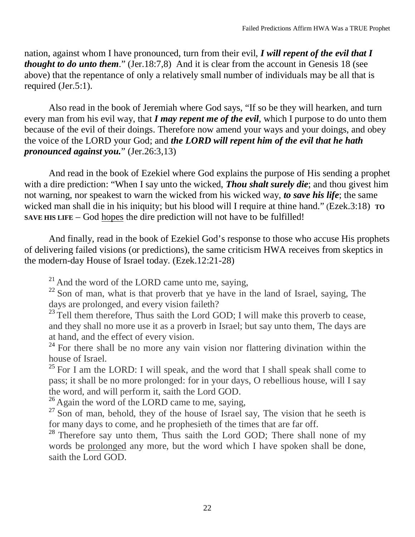nation, against whom I have pronounced, turn from their evil, *I will repent of the evil that I thought to do unto them.*" (Jer.18:7,8) And it is clear from the account in Genesis 18 (see above) that the repentance of only a relatively small number of individuals may be all that is required (Jer.5:1).

Also read in the book of Jeremiah where God says, "If so be they will hearken, and turn every man from his evil way, that *I may repent me of the evil*, which I purpose to do unto them because of the evil of their doings. Therefore now amend your ways and your doings, and obey the voice of the LORD your God; and *the LORD will repent him of the evil that he hath pronounced against you.*" (Jer.26:3,13)

And read in the book of Ezekiel where God explains the purpose of His sending a prophet with a dire prediction: "When I say unto the wicked, *Thou shalt surely die*; and thou givest him not warning, nor speakest to warn the wicked from his wicked way, *to save his life*; the same wicked man shall die in his iniquity; but his blood will I require at thine hand." (Ezek.3:18) **TO SAVE HIS LIFE** – God hopes the dire prediction will not have to be fulfilled!

And finally, read in the book of Ezekiel God's response to those who accuse His prophets of delivering failed visions (or predictions), the same criticism HWA receives from skeptics in the modern-day House of Israel today. (Ezek.12:21-28)

 $21$  And the word of the LORD came unto me, saying,

 $22$  Son of man, what is that proverb that ye have in the land of Israel, saying, The days are prolonged, and every vision faileth?

 $^{23}$  Tell them therefore, Thus saith the Lord GOD; I will make this proverb to cease, and they shall no more use it as a proverb in Israel; but say unto them, The days are at hand, and the effect of every vision.

 $24$  For there shall be no more any vain vision nor flattering divination within the house of Israel.

 $25$  For I am the LORD: I will speak, and the word that I shall speak shall come to pass; it shall be no more prolonged: for in your days, O rebellious house, will I say the word, and will perform it, saith the Lord GOD.

<sup>26</sup> Again the word of the LORD came to me, saying,

 $27$  Son of man, behold, they of the house of Israel say, The vision that he seeth is for many days to come, and he prophesieth of the times that are far off.

<sup>28</sup> Therefore say unto them, Thus saith the Lord GOD; There shall none of my words be prolonged any more, but the word which I have spoken shall be done, saith the Lord GOD.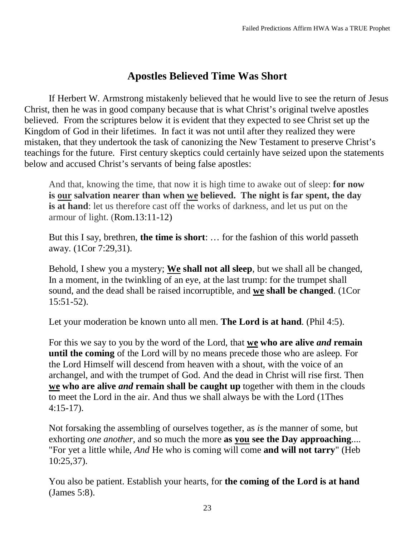# **Apostles Believed Time Was Short**

<span id="page-22-0"></span>If Herbert W. Armstrong mistakenly believed that he would live to see the return of Jesus Christ, then he was in good company because that is what Christ's original twelve apostles believed. From the scriptures below it is evident that they expected to see Christ set up the Kingdom of God in their lifetimes. In fact it was not until after they realized they were mistaken, that they undertook the task of canonizing the New Testament to preserve Christ's teachings for the future. First century skeptics could certainly have seized upon the statements below and accused Christ's servants of being false apostles:

And that, knowing the time, that now it is high time to awake out of sleep: **for now is our salvation nearer than when we believed. The night is far spent, the day is at hand**: let us therefore cast off the works of darkness, and let us put on the armour of light. (Rom.13:11-12)

But this I say, brethren, **the time is short**: … for the fashion of this world passeth away. (1Cor 7:29,31).

Behold, I shew you a mystery; **We shall not all sleep**, but we shall all be changed, In a moment, in the twinkling of an eye, at the last trump: for the trumpet shall sound, and the dead shall be raised incorruptible, and **we shall be changed**. (1Cor 15:51-52).

Let your moderation be known unto all men. **The Lord is at hand**. (Phil 4:5).

For this we say to you by the word of the Lord, that **we who are alive** *and* **remain until the coming** of the Lord will by no means precede those who are asleep. For the Lord Himself will descend from heaven with a shout, with the voice of an archangel, and with the trumpet of God. And the dead in Christ will rise first. Then **we who are alive** *and* **remain shall be caught up** together with them in the clouds to meet the Lord in the air. And thus we shall always be with the Lord (1Thes 4:15-17).

Not forsaking the assembling of ourselves together, as *is* the manner of some, but exhorting *one another,* and so much the more **as you see the Day approaching**.... "For yet a little while, *And* He who is coming will come **and will not tarry**" (Heb 10:25,37).

You also be patient. Establish your hearts, for **the coming of the Lord is at hand**  (James 5:8).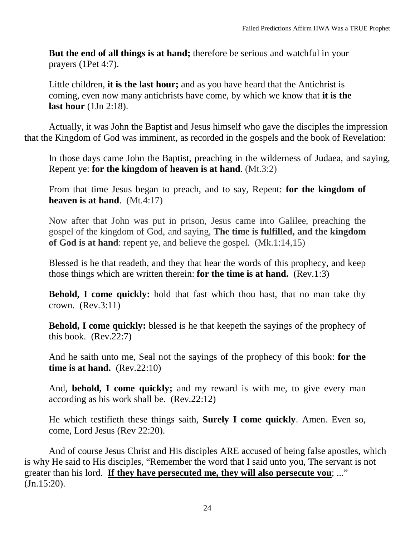**But the end of all things is at hand;** therefore be serious and watchful in your prayers (1Pet 4:7).

Little children, **it is the last hour;** and as you have heard that the Antichrist is coming, even now many antichrists have come, by which we know that **it is the last hour** (1Jn 2:18).

Actually, it was John the Baptist and Jesus himself who gave the disciples the impression that the Kingdom of God was imminent, as recorded in the gospels and the book of Revelation:

In those days came John the Baptist, preaching in the wilderness of Judaea, and saying, Repent ye: **for the kingdom of heaven is at hand**. (Mt.3:2)

From that time Jesus began to preach, and to say, Repent: **for the kingdom of heaven is at hand**. (Mt.4:17)

Now after that John was put in prison, Jesus came into Galilee, preaching the gospel of the kingdom of God, and saying, **The time is fulfilled, and the kingdom of God is at hand**: repent ye, and believe the gospel. (Mk.1:14,15)

Blessed is he that readeth, and they that hear the words of this prophecy, and keep those things which are written therein: **for the time is at hand.** (Rev.1:3)

**Behold, I come quickly:** hold that fast which thou hast, that no man take thy crown. (Rev.3:11)

**Behold, I come quickly:** blessed is he that keepeth the sayings of the prophecy of this book. (Rev.22:7)

And he saith unto me, Seal not the sayings of the prophecy of this book: **for the time is at hand.** (Rev.22:10)

And, **behold, I come quickly;** and my reward is with me, to give every man according as his work shall be. (Rev.22:12)

He which testifieth these things saith, **Surely I come quickly**. Amen. Even so, come, Lord Jesus (Rev 22:20).

And of course Jesus Christ and His disciples ARE accused of being false apostles, which is why He said to His disciples, "Remember the word that I said unto you, The servant is not greater than his lord. **If they have persecuted me, they will also persecute you**; ..." (Jn.15:20).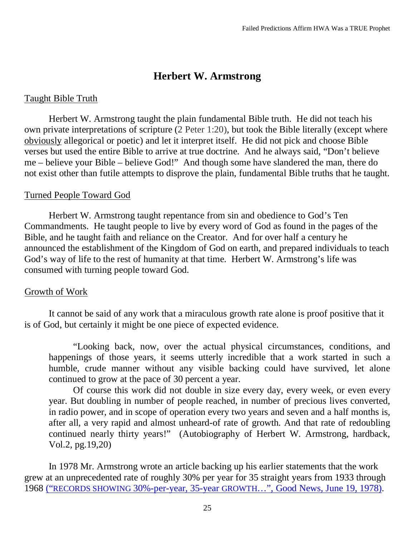## **Herbert W. Armstrong**

#### <span id="page-24-0"></span>Taught Bible Truth

Herbert W. Armstrong taught the plain fundamental Bible truth. He did not teach his own private interpretations of scripture [\(2 Peter 1:20\)](http://www.kingjamesbibleonline.org/2-Peter-1-20/), but took the Bible literally (except where obviously allegorical or poetic) and let it interpret itself. He did not pick and choose Bible verses but used the entire Bible to arrive at true doctrine. And he always said, "Don't believe me – believe your Bible – believe God!" And though some have slandered the man, there do not exist other than futile attempts to disprove the plain, fundamental Bible truths that he taught.

#### Turned People Toward God

Herbert W. Armstrong taught repentance from sin and obedience to God's Ten Commandments. He taught people to live by every word of God as found in the pages of the Bible, and he taught faith and reliance on the Creator. And for over half a century he announced the establishment of the Kingdom of God on earth, and prepared individuals to teach God's way of life to the rest of humanity at that time. Herbert W. Armstrong's life was consumed with turning people toward God.

#### Growth of Work

It cannot be said of any work that a miraculous growth rate alone is proof positive that it is of God, but certainly it might be one piece of expected evidence.

"Looking back, now, over the actual physical circumstances, conditions, and happenings of those years, it seems utterly incredible that a work started in such a humble, crude manner without any visible backing could have survived, let alone continued to grow at the pace of 30 percent a year.

Of course this work did not double in size every day, every week, or even every year. But doubling in number of people reached, in number of precious lives converted, in radio power, and in scope of operation every two years and seven and a half months is, after all, a very rapid and almost unheard-of rate of growth. And that rate of redoubling continued nearly thirty years!" (Autobiography of Herbert W. Armstrong, hardback, Vol.2, pg.19,20)

In 1978 Mr. Armstrong wrote an article backing up his earlier statements that the work grew at an unprecedented rate of roughly 30% per year for 35 straight years from 1933 through 1968 ("RECORDS SHOWING 30%-per-year, 35-year GROWTH…", Good News, June 19, 1978).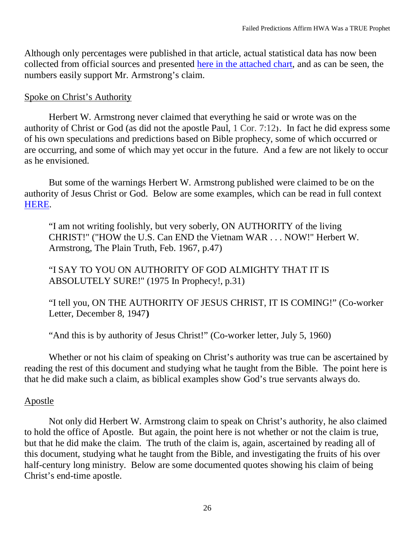Although only percentages were published in that article, actual statistical data has now been collected from official sources and presented here in the attached chart, and as can be seen, the numbers easily support Mr. Armstrong's claim.

## Spoke on Christ's Authority

Herbert W. Armstrong never claimed that everything he said or wrote was on the authority of Christ or God (as did not the apostle Paul, [1 Cor.](http://www.kingjamesbibleonline.org/1-Corinthians-7-12/) 7:12**)**. In fact he did express some of his own speculations and predictions based on Bible prophecy, some of which occurred or are occurring, and some of which may yet occur in the future. And a few are not likely to occur as he envisioned.

But some of the warnings Herbert W. Armstrong published were claimed to be on the authority of Jesus Christ or God. Below are some examples, which can be read in full context HERE.

"I am not writing foolishly, but very soberly, ON AUTHORITY of the living CHRIST!" ("HOW the U.S. Can END the Vietnam WAR . . . NOW!" Herbert W. Armstrong, The Plain Truth, Feb. 1967, p.47)

"I SAY TO YOU ON AUTHORITY OF GOD ALMIGHTY THAT IT IS ABSOLUTELY SURE!" (1975 In Prophecy!, p.31)

"I tell you, ON THE AUTHORITY OF JESUS CHRIST, IT IS COMING!" (Co-worker Letter, December 8, 1947**)**

"And this is by authority of Jesus Christ!" (Co-worker letter, July 5, 1960)

Whether or not his claim of speaking on Christ's authority was true can be ascertained by reading the rest of this document and studying what he taught from the Bible. The point here is that he did make such a claim, as biblical examples show God's true servants always do.

## Apostle

Not only did Herbert W. Armstrong claim to speak on Christ's authority, he also claimed to hold the office of Apostle. But again, the point here is not whether or not the claim is true, but that he did make the claim. The truth of the claim is, again, ascertained by reading all of this document, studying what he taught from the Bible, and investigating the fruits of his over half-century long ministry. Below are some documented quotes showing his claim of being Christ's end-time apostle.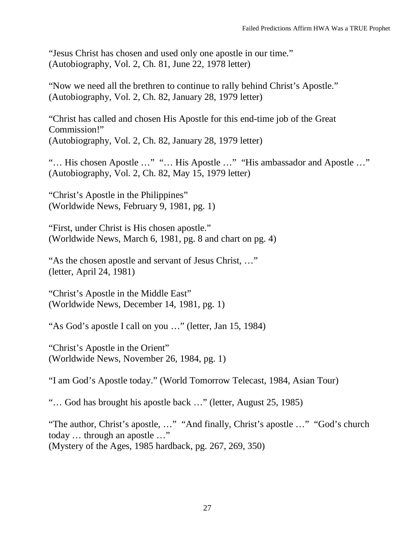"Jesus Christ has chosen and used only one apostle in our time." (Autobiography, Vol. 2, Ch. 81, June 22, 1978 letter)

"Now we need all the brethren to continue to rally behind Christ's Apostle." (Autobiography, Vol. 2, Ch. 82, January 28, 1979 letter)

"Christ has called and chosen His Apostle for this end-time job of the Great Commission!" (Autobiography, Vol. 2, Ch. 82, January 28, 1979 letter)

"… His chosen Apostle …" "… His Apostle …" "His ambassador and Apostle …" (Autobiography, Vol. 2, Ch. 82, May 15, 1979 letter)

"Christ's Apostle in the Philippines" (Worldwide News, February 9, 1981, pg. 1)

"First, under Christ is His chosen apostle." (Worldwide News, March 6, 1981, pg. 8 and chart on pg. 4)

"As the chosen apostle and servant of Jesus Christ, …" (letter, April 24, 1981)

"Christ's Apostle in the Middle East" (Worldwide News, December 14, 1981, pg. 1)

"As God's apostle I call on you …" (letter, Jan 15, 1984)

"Christ's Apostle in the Orient" (Worldwide News, November 26, 1984, pg. 1)

"I am God's Apostle today." (World Tomorrow Telecast, 1984, Asian Tour)

"… God has brought his apostle back …" (letter, August 25, 1985)

"The author, Christ's apostle, …" "And finally, Christ's apostle …" "God's church today … through an apostle …" (Mystery of the Ages, 1985 hardback, pg. 267, 269, 350)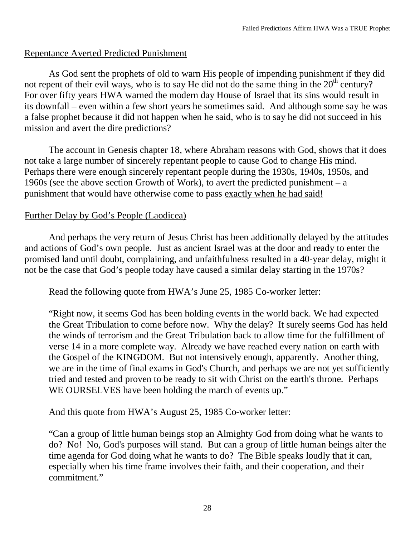## Repentance Averted Predicted Punishment

As God sent the prophets of old to warn His people of impending punishment if they did not repent of their evil ways, who is to say He did not do the same thing in the  $20<sup>th</sup>$  century? For over fifty years HWA warned the modern day House of Israel that its sins would result in its downfall – even within a few short years he sometimes said. And although some say he was a false prophet because it did not happen when he said, who is to say he did not succeed in his mission and avert the dire predictions?

The account in Genesis chapter 18, where Abraham reasons with God, shows that it does not take a large number of sincerely repentant people to cause God to change His mind. Perhaps there were enough sincerely repentant people during the 1930s, 1940s, 1950s, and 1960s (see the above section Growth of Work), to avert the predicted punishment – a punishment that would have otherwise come to pass exactly when he had said!

## Further Delay by God's People (Laodicea)

And perhaps the very return of Jesus Christ has been additionally delayed by the attitudes and actions of God's own people. Just as ancient Israel was at the door and ready to enter the promised land until doubt, complaining, and unfaithfulness resulted in a 40-year delay, might it not be the case that God's people today have caused a similar delay starting in the 1970s?

Read the following quote from HWA's June 25, 1985 Co-worker letter:

"Right now, it seems God has been holding events in the world back. We had expected the Great Tribulation to come before now. Why the delay? It surely seems God has held the winds of terrorism and the Great Tribulation back to allow time for the fulfillment of verse 14 in a more complete way. Already we have reached every nation on earth with the Gospel of the KINGDOM. But not intensively enough, apparently. Another thing, we are in the time of final exams in God's Church, and perhaps we are not yet sufficiently tried and tested and proven to be ready to sit with Christ on the earth's throne. Perhaps WE OURSELVES have been holding the march of events up."

And this quote from HWA's August 25, 1985 Co-worker letter:

"Can a group of little human beings stop an Almighty God from doing what he wants to do? No! No, God's purposes will stand. But can a group of little human beings alter the time agenda for God doing what he wants to do? The Bible speaks loudly that it can, especially when his time frame involves their faith, and their cooperation, and their commitment."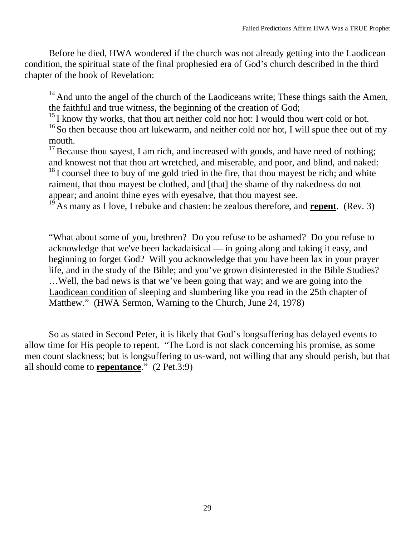Before he died, HWA wondered if the church was not already getting into the Laodicean condition, the spiritual state of the final prophesied era of God's church described in the third chapter of the book of Revelation:

 $14$  And unto the angel of the church of the Laodiceans write; These things saith the Amen, the faithful and true witness, the beginning of the creation of God;

 $15$  I know thy works, that thou art neither cold nor hot: I would thou wert cold or hot.

 $16$  So then because thou art lukewarm, and neither cold nor hot, I will spue thee out of my mouth.

 $17$  Because thou sayest, I am rich, and increased with goods, and have need of nothing; and knowest not that thou art wretched, and miserable, and poor, and blind, and naked:

 $18$  I counsel thee to buy of me gold tried in the fire, that thou may est be rich; and white raiment, that thou mayest be clothed, and [that] the shame of thy nakedness do not appear; and anoint thine eyes with eyesalve, that thou mayest see.

<sup>19</sup> As many as I love, I rebuke and chasten: be zealous therefore, and **repent**. (Rev. 3)

"What about some of you, brethren? Do you refuse to be ashamed? Do you refuse to acknowledge that we've been lackadaisical — in going along and taking it easy, and beginning to forget God? Will you acknowledge that you have been lax in your prayer life, and in the study of the Bible; and you've grown disinterested in the Bible Studies? …Well, the bad news is that we've been going that way; and we are going into the Laodicean condition of sleeping and slumbering like you read in the 25th chapter of Matthew." (HWA Sermon, Warning to the Church, June 24, 1978)

So as stated in Second Peter, it is likely that God's longsuffering has delayed events to allow time for His people to repent. "The Lord is not slack concerning his promise, as some men count slackness; but is longsuffering to us-ward, not willing that any should perish, but that all should come to **repentance**." (2 Pet.3:9)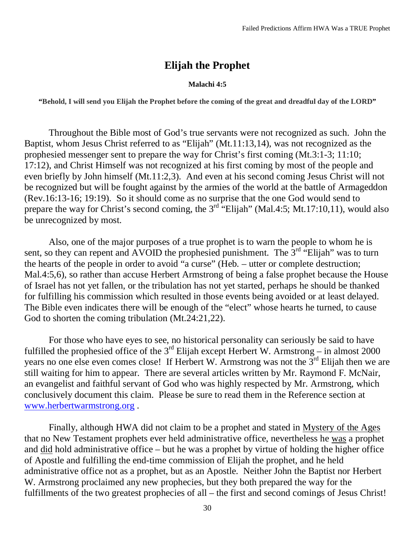## **Elijah the Prophet**

#### **Malachi 4:5**

<span id="page-29-0"></span>**"Behold, I will send you Elijah the Prophet before the coming of the great and dreadful day of the LORD"**

Throughout the Bible most of God's true servants were not recognized as such. John the Baptist, whom Jesus Christ referred to as "Elijah" (Mt.11:13,14), was not recognized as the prophesied messenger sent to prepare the way for Christ's first coming (Mt.3:1-3; 11:10; 17:12), and Christ Himself was not recognized at his first coming by most of the people and even briefly by John himself (Mt.11:2,3). And even at his second coming Jesus Christ will not be recognized but will be fought against by the armies of the world at the battle of Armageddon (Rev.16:13-16; 19:19). So it should come as no surprise that the one God would send to prepare the way for Christ's second coming, the  $3<sup>rd</sup>$  "Elijah" (Mal.4:5; Mt.17:10,11), would also be unrecognized by most.

Also, one of the major purposes of a true prophet is to warn the people to whom he is sent, so they can repent and AVOID the prophesied punishment. The  $3<sup>rd</sup>$  "Elijah" was to turn the hearts of the people in order to avoid "a curse" (Heb. – utter or complete destruction; Mal.4:5,6), so rather than accuse Herbert Armstrong of being a false prophet because the House of Israel has not yet fallen, or the tribulation has not yet started, perhaps he should be thanked for fulfilling his commission which resulted in those events being avoided or at least delayed. The Bible even indicates there will be enough of the "elect" whose hearts he turned, to cause God to shorten the coming tribulation (Mt.24:21,22).

For those who have eyes to see, no historical personality can seriously be said to have fulfilled the prophesied office of the  $3<sup>rd</sup>$  Elijah except Herbert W. Armstrong – in almost 2000 years no one else even comes close! If Herbert W. Armstrong was not the 3<sup>rd</sup> Elijah then we are still waiting for him to appear. There are several articles written by Mr. Raymond F. McNair, an evangelist and faithful servant of God who was highly respected by Mr. Armstrong, which conclusively document this claim. Please be sure to read them in the Reference section at [www.herbertwarmstrong.org](http://www.herbertwarmstrong.org/) .

Finally, although HWA did not claim to be a prophet and stated in Mystery of the Ages that no New Testament prophets ever held administrative office, nevertheless he was a prophet and did hold administrative office – but he was a prophet by virtue of holding the higher office of Apostle and fulfilling the end-time commission of Elijah the prophet, and he held administrative office not as a prophet, but as an Apostle. Neither John the Baptist nor Herbert W. Armstrong proclaimed any new prophecies, but they both prepared the way for the fulfillments of the two greatest prophecies of all – the first and second comings of Jesus Christ!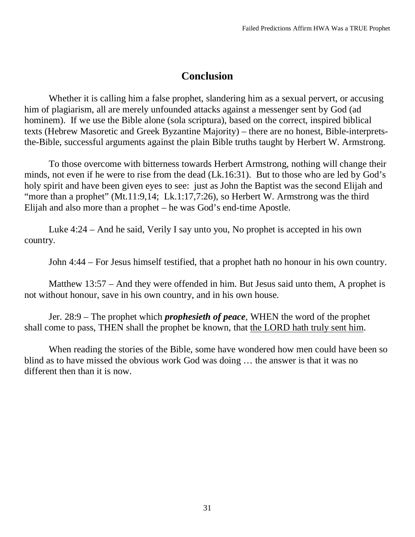## **Conclusion**

<span id="page-30-0"></span>Whether it is calling him a false prophet, slandering him as a sexual pervert, or accusing him of plagiarism, all are merely unfounded attacks against a messenger sent by God (ad hominem). If we use the Bible alone (sola scriptura), based on the correct, inspired biblical texts (Hebrew Masoretic and Greek Byzantine Majority) – there are no honest, Bible-interpretsthe-Bible, successful arguments against the plain Bible truths taught by Herbert W. Armstrong.

To those overcome with bitterness towards Herbert Armstrong, nothing will change their minds, not even if he were to rise from the dead (Lk.16:31). But to those who are led by God's holy spirit and have been given eyes to see: just as John the Baptist was the second Elijah and "more than a prophet" (Mt.11:9,14; Lk.1:17,7:26), so Herbert W. Armstrong was the third Elijah and also more than a prophet – he was God's end-time Apostle.

Luke 4:24 – And he said, Verily I say unto you, No prophet is accepted in his own country.

John 4:44 – For Jesus himself testified, that a prophet hath no honour in his own country.

Matthew 13:57 – And they were offended in him. But Jesus said unto them, A prophet is not without honour, save in his own country, and in his own house.

Jer. 28:9 – The prophet which *prophesieth of peace*, WHEN the word of the prophet shall come to pass, THEN shall the prophet be known, that the LORD hath truly sent him.

When reading the stories of the Bible, some have wondered how men could have been so blind as to have missed the obvious work God was doing … the answer is that it was no different then than it is now.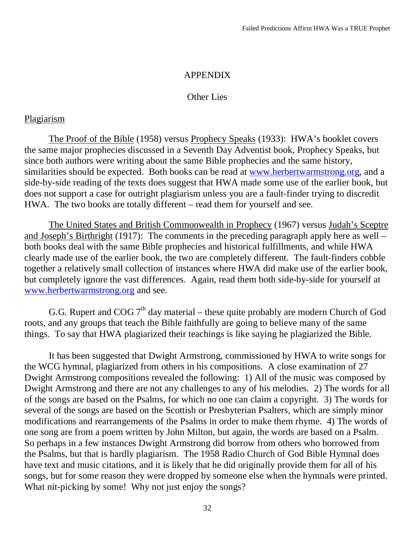#### APPENDIX

#### Other Lies

## <span id="page-31-0"></span>Plagiarism

The Proof of the Bible (1958) versus Prophecy Speaks (1933): HWA's booklet covers the same major prophecies discussed in a Seventh Day Adventist book, Prophecy Speaks, but since both authors were writing about the same Bible prophecies and the same history, similarities should be expected. Both books can be read at [www.herbertwarmstrong.org,](http://www.herbertwarmstrong.org/) and a side-by-side reading of the texts does suggest that HWA made some use of the earlier book, but does not support a case for outright plagiarism unless you are a fault-finder trying to discredit HWA. The two books are totally different – read them for yourself and see.

The United States and British Commonwealth in Prophecy (1967) versus Judah's Sceptre and Joseph's Birthright (1917): The comments in the preceding paragraph apply here as well – both books deal with the same Bible prophecies and historical fulfillments, and while HWA clearly made use of the earlier book, the two are completely different. The fault-finders cobble together a relatively small collection of instances where HWA did make use of the earlier book, but completely ignore the vast differences. Again, read them both side-by-side for yourself at [www.herbertwarmstrong.org](http://www.herbertwarmstrong.org/) and see.

G.G. Rupert and COG  $7<sup>th</sup>$  day material – these quite probably are modern Church of God roots, and any groups that teach the Bible faithfully are going to believe many of the same things. To say that HWA plagiarized their teachings is like saying he plagiarized the Bible.

It has been suggested that Dwight Armstrong, commissioned by HWA to write songs for the WCG hymnal, plagiarized from others in his compositions. A close examination of 27 Dwight Armstrong compositions revealed the following: 1) All of the music was composed by Dwight Armstrong and there are not any challenges to any of his melodies. 2) The words for all of the songs are based on the Psalms, for which no one can claim a copyright. 3) The words for several of the songs are based on the Scottish or Presbyterian Psalters, which are simply minor modifications and rearrangements of the Psalms in order to make them rhyme. 4) The words of one song are from a poem written by John Milton, but again, the words are based on a Psalm. So perhaps in a few instances Dwight Armstrong did borrow from others who borrowed from the Psalms, but that is hardly plagiarism. The 1958 Radio Church of God Bible Hymnal does have text and music citations, and it is likely that he did originally provide them for all of his songs, but for some reason they were dropped by someone else when the hymnals were printed. What nit-picking by some! Why not just enjoy the songs?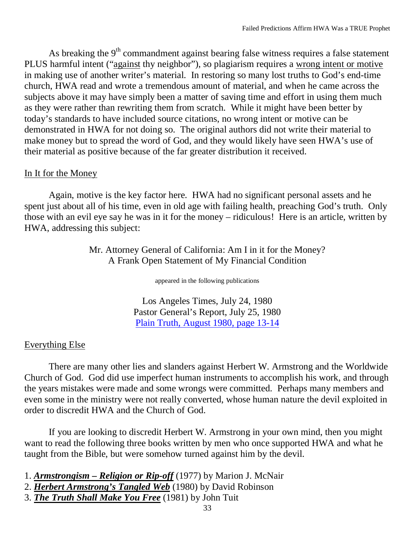As breaking the  $9<sup>th</sup>$  commandment against bearing false witness requires a false statement PLUS harmful intent ("against thy neighbor"), so plagiarism requires a wrong intent or motive in making use of another writer's material. In restoring so many lost truths to God's end-time church, HWA read and wrote a tremendous amount of material, and when he came across the subjects above it may have simply been a matter of saving time and effort in using them much as they were rather than rewriting them from scratch. While it might have been better by today's standards to have included source citations, no wrong intent or motive can be demonstrated in HWA for not doing so. The original authors did not write their material to make money but to spread the word of God, and they would likely have seen HWA's use of their material as positive because of the far greater distribution it received.

## In It for the Money

Again, motive is the key factor here. HWA had no significant personal assets and he spent just about all of his time, even in old age with failing health, preaching God's truth. Only those with an evil eye say he was in it for the money – ridiculous! Here is an article, written by HWA, addressing this subject:

> Mr. Attorney General of California: Am I in it for the Money? A Frank Open Statement of My Financial Condition

> > appeared in the following publications

Los Angeles Times, July 24, 1980 Pastor General's Report, July 25, 1980 Plain Truth, August 1980, page 13-14

## Everything Else

There are many other lies and slanders against Herbert W. Armstrong and the Worldwide Church of God. God did use imperfect human instruments to accomplish his work, and through the years mistakes were made and some wrongs were committed. Perhaps many members and even some in the ministry were not really converted, whose human nature the devil exploited in order to discredit HWA and the Church of God.

If you are looking to discredit Herbert W. Armstrong in your own mind, then you might want to read the following three books written by men who once supported HWA and what he taught from the Bible, but were somehow turned against him by the devil.

- 1. *Armstrongism – Religion or Rip-off* (1977) by Marion J. McNair
- 2. *Herbert Armstrong's Tangled Web* (1980) by David Robinson
- 3. *The Truth Shall Make You Free* (1981) by John Tuit